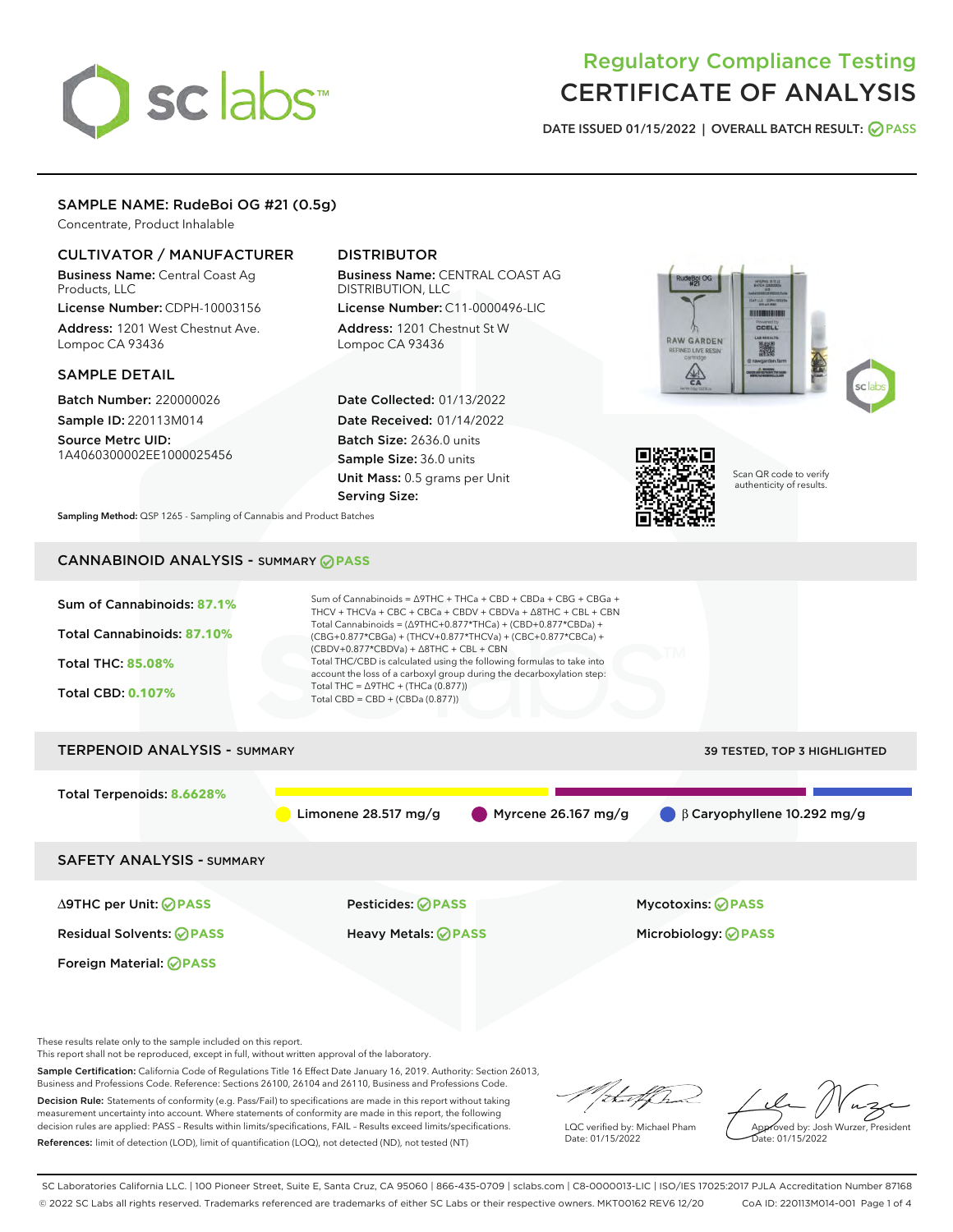# sclabs<sup>\*</sup>

# Regulatory Compliance Testing CERTIFICATE OF ANALYSIS

DATE ISSUED 01/15/2022 | OVERALL BATCH RESULT: @ PASS

# SAMPLE NAME: RudeBoi OG #21 (0.5g)

Concentrate, Product Inhalable

# CULTIVATOR / MANUFACTURER

Business Name: Central Coast Ag Products, LLC License Number: CDPH-10003156

Address: 1201 West Chestnut Ave. Lompoc CA 93436

#### SAMPLE DETAIL

Batch Number: 220000026 Sample ID: 220113M014

Source Metrc UID: 1A4060300002EE1000025456

# DISTRIBUTOR

Business Name: CENTRAL COAST AG DISTRIBUTION, LLC License Number: C11-0000496-LIC

Address: 1201 Chestnut St W Lompoc CA 93436

Date Collected: 01/13/2022 Date Received: 01/14/2022 Batch Size: 2636.0 units Sample Size: 36.0 units Unit Mass: 0.5 grams per Unit Serving Size:





Scan QR code to verify authenticity of results.

Sampling Method: QSP 1265 - Sampling of Cannabis and Product Batches

# CANNABINOID ANALYSIS - SUMMARY **PASS**



These results relate only to the sample included on this report.

This report shall not be reproduced, except in full, without written approval of the laboratory.

Sample Certification: California Code of Regulations Title 16 Effect Date January 16, 2019. Authority: Section 26013, Business and Professions Code. Reference: Sections 26100, 26104 and 26110, Business and Professions Code.

Decision Rule: Statements of conformity (e.g. Pass/Fail) to specifications are made in this report without taking measurement uncertainty into account. Where statements of conformity are made in this report, the following decision rules are applied: PASS – Results within limits/specifications, FAIL – Results exceed limits/specifications. References: limit of detection (LOD), limit of quantification (LOQ), not detected (ND), not tested (NT)

that f h

LQC verified by: Michael Pham Date: 01/15/2022

Approved by: Josh Wurzer, President ate: 01/15/2022

SC Laboratories California LLC. | 100 Pioneer Street, Suite E, Santa Cruz, CA 95060 | 866-435-0709 | sclabs.com | C8-0000013-LIC | ISO/IES 17025:2017 PJLA Accreditation Number 87168 © 2022 SC Labs all rights reserved. Trademarks referenced are trademarks of either SC Labs or their respective owners. MKT00162 REV6 12/20 CoA ID: 220113M014-001 Page 1 of 4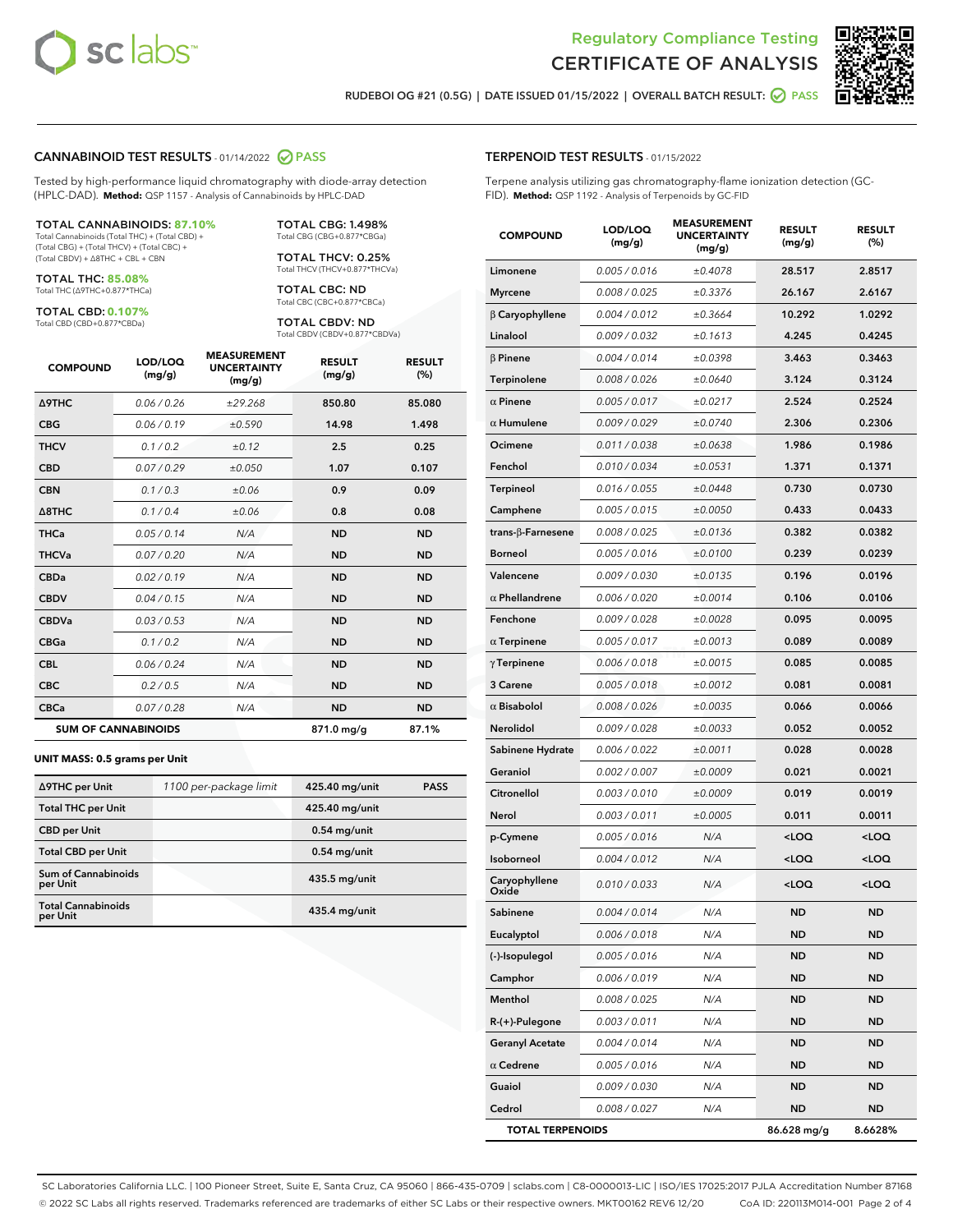



RUDEBOI OG #21 (0.5G) | DATE ISSUED 01/15/2022 | OVERALL BATCH RESULT: **O PASS** 

#### CANNABINOID TEST RESULTS - 01/14/2022 2 PASS

Tested by high-performance liquid chromatography with diode-array detection (HPLC-DAD). **Method:** QSP 1157 - Analysis of Cannabinoids by HPLC-DAD

#### TOTAL CANNABINOIDS: **87.10%**

Total Cannabinoids (Total THC) + (Total CBD) + (Total CBG) + (Total THCV) + (Total CBC) + (Total CBDV) + ∆8THC + CBL + CBN

TOTAL THC: **85.08%** Total THC (∆9THC+0.877\*THCa)

TOTAL CBD: **0.107%**

Total CBD (CBD+0.877\*CBDa)

TOTAL CBG: 1.498% Total CBG (CBG+0.877\*CBGa)

TOTAL THCV: 0.25% Total THCV (THCV+0.877\*THCVa)

TOTAL CBC: ND Total CBC (CBC+0.877\*CBCa)

TOTAL CBDV: ND Total CBDV (CBDV+0.877\*CBDVa)

| <b>COMPOUND</b>            | LOD/LOQ<br>(mg/g) | <b>MEASUREMENT</b><br><b>UNCERTAINTY</b><br>(mg/g) | <b>RESULT</b><br>(mg/g) | <b>RESULT</b><br>(%) |
|----------------------------|-------------------|----------------------------------------------------|-------------------------|----------------------|
| <b>A9THC</b>               | 0.06/0.26         | ±29.268                                            | 850.80                  | 85.080               |
| <b>CBG</b>                 | 0.06/0.19         | ±0.590                                             | 14.98                   | 1.498                |
| <b>THCV</b>                | 0.1/0.2           | $\pm 0.12$                                         | 2.5                     | 0.25                 |
| <b>CBD</b>                 | 0.07/0.29         | ±0.050                                             | 1.07                    | 0.107                |
| <b>CBN</b>                 | 0.1 / 0.3         | ±0.06                                              | 0.9                     | 0.09                 |
| $\triangle$ 8THC           | 0.1/0.4           | ±0.06                                              | 0.8                     | 0.08                 |
| <b>THCa</b>                | 0.05/0.14         | N/A                                                | <b>ND</b>               | <b>ND</b>            |
| <b>THCVa</b>               | 0.07/0.20         | N/A                                                | <b>ND</b>               | <b>ND</b>            |
| <b>CBDa</b>                | 0.02/0.19         | N/A                                                | <b>ND</b>               | <b>ND</b>            |
| <b>CBDV</b>                | 0.04/0.15         | N/A                                                | <b>ND</b>               | <b>ND</b>            |
| <b>CBDVa</b>               | 0.03 / 0.53       | N/A                                                | <b>ND</b>               | <b>ND</b>            |
| <b>CBGa</b>                | 0.1/0.2           | N/A                                                | <b>ND</b>               | <b>ND</b>            |
| <b>CBL</b>                 | 0.06 / 0.24       | N/A                                                | <b>ND</b>               | <b>ND</b>            |
| <b>CBC</b>                 | 0.2 / 0.5         | N/A                                                | <b>ND</b>               | <b>ND</b>            |
| <b>CBCa</b>                | 0.07/0.28         | N/A                                                | <b>ND</b>               | <b>ND</b>            |
| <b>SUM OF CANNABINOIDS</b> |                   |                                                    | 871.0 mg/g              | 87.1%                |

#### **UNIT MASS: 0.5 grams per Unit**

| ∆9THC per Unit                         | 1100 per-package limit | 425.40 mg/unit  | <b>PASS</b> |
|----------------------------------------|------------------------|-----------------|-------------|
| <b>Total THC per Unit</b>              |                        | 425.40 mg/unit  |             |
| <b>CBD</b> per Unit                    |                        | $0.54$ mg/unit  |             |
| <b>Total CBD per Unit</b>              |                        | $0.54$ mg/unit  |             |
| <b>Sum of Cannabinoids</b><br>per Unit |                        | 435.5 mg/unit   |             |
| <b>Total Cannabinoids</b><br>per Unit  |                        | $435.4$ mg/unit |             |

| <b>COMPOUND</b>          | LOD/LOQ<br>(mg/g) | <b>MEASUREMENT</b><br><b>UNCERTAINTY</b><br>(mg/g) | <b>RESULT</b><br>(mg/g)                         | <b>RESULT</b><br>$(\%)$ |
|--------------------------|-------------------|----------------------------------------------------|-------------------------------------------------|-------------------------|
| Limonene                 | 0.005 / 0.016     | ±0.4078                                            | 28.517                                          | 2.8517                  |
| <b>Myrcene</b>           | 0.008 / 0.025     | ±0.3376                                            | 26.167                                          | 2.6167                  |
| <b>B</b> Caryophyllene   | 0.004 / 0.012     | ±0.3664                                            | 10.292                                          | 1.0292                  |
| Linalool                 | 0.009 / 0.032     | ±0.1613                                            | 4.245                                           | 0.4245                  |
| $\beta$ Pinene           | 0.004 / 0.014     | ±0.0398                                            | 3.463                                           | 0.3463                  |
| Terpinolene              | 0.008 / 0.026     | ±0.0640                                            | 3.124                                           | 0.3124                  |
| $\alpha$ Pinene          | 0.005 / 0.017     | ±0.0217                                            | 2.524                                           | 0.2524                  |
| $\alpha$ Humulene        | 0.009/0.029       | ±0.0740                                            | 2.306                                           | 0.2306                  |
| Ocimene                  | 0.011 / 0.038     | ±0.0638                                            | 1.986                                           | 0.1986                  |
| Fenchol                  | 0.010 / 0.034     | ±0.0531                                            | 1.371                                           | 0.1371                  |
| Terpineol                | 0.016 / 0.055     | ±0.0448                                            | 0.730                                           | 0.0730                  |
| Camphene                 | 0.005 / 0.015     | ±0.0050                                            | 0.433                                           | 0.0433                  |
| $trans-\beta$ -Farnesene | 0.008 / 0.025     | ±0.0136                                            | 0.382                                           | 0.0382                  |
| <b>Borneol</b>           | 0.005 / 0.016     | ±0.0100                                            | 0.239                                           | 0.0239                  |
| Valencene                | 0.009 / 0.030     | ±0.0135                                            | 0.196                                           | 0.0196                  |
| $\alpha$ Phellandrene    | 0.006 / 0.020     | ±0.0014                                            | 0.106                                           | 0.0106                  |
| Fenchone                 | 0.009 / 0.028     | ±0.0028                                            | 0.095                                           | 0.0095                  |
| $\alpha$ Terpinene       | 0.005 / 0.017     | ±0.0013                                            | 0.089                                           | 0.0089                  |
| $\gamma$ Terpinene       | 0.006 / 0.018     | ±0.0015                                            | 0.085                                           | 0.0085                  |
| 3 Carene                 | 0.005 / 0.018     | ±0.0012                                            | 0.081                                           | 0.0081                  |
| $\alpha$ Bisabolol       | 0.008 / 0.026     | ±0.0035                                            | 0.066                                           | 0.0066                  |
| Nerolidol                | 0.009 / 0.028     | ±0.0033                                            | 0.052                                           | 0.0052                  |
| Sabinene Hydrate         | 0.006 / 0.022     | ±0.0011                                            | 0.028                                           | 0.0028                  |
| Geraniol                 | 0.002 / 0.007     | ±0.0009                                            | 0.021                                           | 0.0021                  |
| Citronellol              | 0.003 / 0.010     | ±0.0009                                            | 0.019                                           | 0.0019                  |
| Nerol                    | 0.003 / 0.011     | ±0.0005                                            | 0.011                                           | 0.0011                  |
| p-Cymene                 | 0.005 / 0.016     | N/A                                                | <loq< th=""><th><loq< th=""></loq<></th></loq<> | <loq< th=""></loq<>     |
| Isoborneol               | 0.004 / 0.012     | N/A                                                | <loq< th=""><th><loq< th=""></loq<></th></loq<> | <loq< th=""></loq<>     |
| Caryophyllene<br>Oxide   | 0.010 / 0.033     | N/A                                                | <loq< th=""><th><loq< th=""></loq<></th></loq<> | <loq< th=""></loq<>     |
| Sabinene                 | 0.004 / 0.014     | N/A                                                | ND                                              | ND                      |
| Eucalyptol               | 0.006 / 0.018     | N/A                                                | ND                                              | ND                      |
| (-)-Isopulegol           | 0.005 / 0.016     | N/A                                                | <b>ND</b>                                       | ND                      |
| Camphor                  | 0.006 / 0.019     | N/A                                                | ND                                              | ND                      |
| Menthol                  | 0.008 / 0.025     | N/A                                                | ND                                              | ND                      |
| R-(+)-Pulegone           | 0.003 / 0.011     | N/A                                                | ND                                              | ND                      |
| <b>Geranyl Acetate</b>   | 0.004 / 0.014     | N/A                                                | ND                                              | ND                      |
| $\alpha$ Cedrene         | 0.005 / 0.016     | N/A                                                | ND                                              | ND                      |
| Guaiol                   | 0.009 / 0.030     | N/A                                                | ND                                              | ND                      |
| Cedrol                   | 0.008 / 0.027     | N/A                                                | ND                                              | ND                      |
| <b>TOTAL TERPENOIDS</b>  |                   |                                                    | 86.628 mg/g                                     | 8.6628%                 |

SC Laboratories California LLC. | 100 Pioneer Street, Suite E, Santa Cruz, CA 95060 | 866-435-0709 | sclabs.com | C8-0000013-LIC | ISO/IES 17025:2017 PJLA Accreditation Number 87168 © 2022 SC Labs all rights reserved. Trademarks referenced are trademarks of either SC Labs or their respective owners. MKT00162 REV6 12/20 CoA ID: 220113M014-001 Page 2 of 4

# TERPENOID TEST RESULTS - 01/15/2022

Terpene analysis utilizing gas chromatography-flame ionization detection (GC-FID). **Method:** QSP 1192 - Analysis of Terpenoids by GC-FID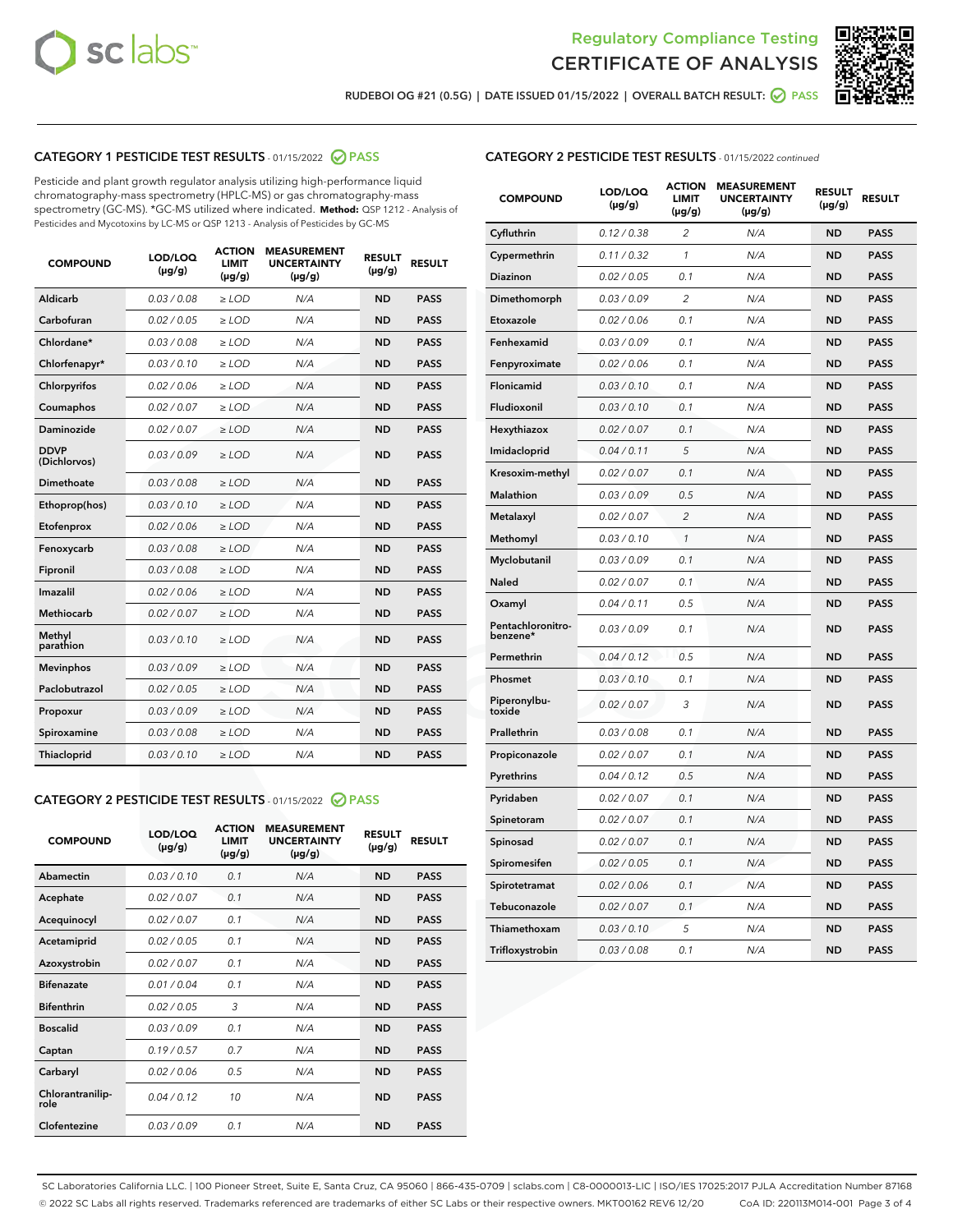



RUDEBOI OG #21 (0.5G) | DATE ISSUED 01/15/2022 | OVERALL BATCH RESULT:  $\bigcirc$  PASS

# CATEGORY 1 PESTICIDE TEST RESULTS - 01/15/2022 2 PASS

Pesticide and plant growth regulator analysis utilizing high-performance liquid chromatography-mass spectrometry (HPLC-MS) or gas chromatography-mass spectrometry (GC-MS). \*GC-MS utilized where indicated. **Method:** QSP 1212 - Analysis of Pesticides and Mycotoxins by LC-MS or QSP 1213 - Analysis of Pesticides by GC-MS

| 0.03/0.08<br><b>ND</b><br>Aldicarb<br>$>$ LOD<br>N/A<br><b>PASS</b><br>Carbofuran<br>0.02 / 0.05<br><b>ND</b><br><b>PASS</b><br>$>$ LOD<br>N/A<br>Chlordane*<br>0.03 / 0.08<br>N/A<br><b>ND</b><br><b>PASS</b><br>$\ge$ LOD<br>Chlorfenapyr*<br>0.03/0.10<br><b>ND</b><br><b>PASS</b><br>$\ge$ LOD<br>N/A<br>N/A<br><b>ND</b><br><b>PASS</b><br>Chlorpyrifos<br>0.02 / 0.06<br>$\ge$ LOD<br>Coumaphos<br>0.02 / 0.07<br>N/A<br><b>ND</b><br><b>PASS</b><br>$\ge$ LOD<br>Daminozide<br>0.02 / 0.07<br>N/A<br><b>ND</b><br><b>PASS</b><br>$\ge$ LOD<br><b>DDVP</b><br>0.03/0.09<br>$>$ LOD<br>N/A<br><b>ND</b><br><b>PASS</b><br>(Dichlorvos)<br>Dimethoate<br>0.03/0.08<br>$>$ LOD<br>N/A<br><b>ND</b><br><b>PASS</b><br>0.03/0.10<br><b>ND</b><br><b>PASS</b><br>Ethoprop(hos)<br>$\ge$ LOD<br>N/A<br>0.02 / 0.06<br>N/A<br><b>ND</b><br><b>PASS</b><br>Etofenprox<br>$\ge$ LOD<br>Fenoxycarb<br>0.03 / 0.08<br>N/A<br><b>ND</b><br><b>PASS</b><br>$\ge$ LOD<br>0.03/0.08<br><b>ND</b><br><b>PASS</b><br>Fipronil<br>$\ge$ LOD<br>N/A<br>Imazalil<br>0.02 / 0.06<br>$\ge$ LOD<br>N/A<br><b>ND</b><br><b>PASS</b><br>Methiocarb<br>0.02 / 0.07<br><b>PASS</b><br>$\ge$ LOD<br>N/A<br><b>ND</b><br>Methyl<br>0.03/0.10<br>$\ge$ LOD<br>N/A<br><b>ND</b><br><b>PASS</b><br>parathion<br>0.03/0.09<br><b>ND</b><br><b>Mevinphos</b><br>$\ge$ LOD<br>N/A<br><b>PASS</b><br>Paclobutrazol<br>0.02 / 0.05<br>$\ge$ LOD<br>N/A<br><b>ND</b><br><b>PASS</b><br>0.03/0.09<br>$\ge$ LOD<br>N/A<br><b>ND</b><br><b>PASS</b><br>Propoxur<br>Spiroxamine<br>0.03 / 0.08<br>$\ge$ LOD<br>N/A<br><b>ND</b><br><b>PASS</b><br>0.03/0.10<br><b>ND</b><br><b>PASS</b><br><b>Thiacloprid</b><br>$\ge$ LOD<br>N/A | <b>COMPOUND</b> | LOD/LOQ<br>$(\mu g/g)$ | <b>ACTION</b><br>LIMIT<br>$(\mu g/g)$ | <b>MEASUREMENT</b><br><b>UNCERTAINTY</b><br>$(\mu g/g)$ | <b>RESULT</b><br>$(\mu g/g)$ | <b>RESULT</b> |
|----------------------------------------------------------------------------------------------------------------------------------------------------------------------------------------------------------------------------------------------------------------------------------------------------------------------------------------------------------------------------------------------------------------------------------------------------------------------------------------------------------------------------------------------------------------------------------------------------------------------------------------------------------------------------------------------------------------------------------------------------------------------------------------------------------------------------------------------------------------------------------------------------------------------------------------------------------------------------------------------------------------------------------------------------------------------------------------------------------------------------------------------------------------------------------------------------------------------------------------------------------------------------------------------------------------------------------------------------------------------------------------------------------------------------------------------------------------------------------------------------------------------------------------------------------------------------------------------------------------------------------------------------------------------------------------------|-----------------|------------------------|---------------------------------------|---------------------------------------------------------|------------------------------|---------------|
|                                                                                                                                                                                                                                                                                                                                                                                                                                                                                                                                                                                                                                                                                                                                                                                                                                                                                                                                                                                                                                                                                                                                                                                                                                                                                                                                                                                                                                                                                                                                                                                                                                                                                              |                 |                        |                                       |                                                         |                              |               |
|                                                                                                                                                                                                                                                                                                                                                                                                                                                                                                                                                                                                                                                                                                                                                                                                                                                                                                                                                                                                                                                                                                                                                                                                                                                                                                                                                                                                                                                                                                                                                                                                                                                                                              |                 |                        |                                       |                                                         |                              |               |
|                                                                                                                                                                                                                                                                                                                                                                                                                                                                                                                                                                                                                                                                                                                                                                                                                                                                                                                                                                                                                                                                                                                                                                                                                                                                                                                                                                                                                                                                                                                                                                                                                                                                                              |                 |                        |                                       |                                                         |                              |               |
|                                                                                                                                                                                                                                                                                                                                                                                                                                                                                                                                                                                                                                                                                                                                                                                                                                                                                                                                                                                                                                                                                                                                                                                                                                                                                                                                                                                                                                                                                                                                                                                                                                                                                              |                 |                        |                                       |                                                         |                              |               |
|                                                                                                                                                                                                                                                                                                                                                                                                                                                                                                                                                                                                                                                                                                                                                                                                                                                                                                                                                                                                                                                                                                                                                                                                                                                                                                                                                                                                                                                                                                                                                                                                                                                                                              |                 |                        |                                       |                                                         |                              |               |
|                                                                                                                                                                                                                                                                                                                                                                                                                                                                                                                                                                                                                                                                                                                                                                                                                                                                                                                                                                                                                                                                                                                                                                                                                                                                                                                                                                                                                                                                                                                                                                                                                                                                                              |                 |                        |                                       |                                                         |                              |               |
|                                                                                                                                                                                                                                                                                                                                                                                                                                                                                                                                                                                                                                                                                                                                                                                                                                                                                                                                                                                                                                                                                                                                                                                                                                                                                                                                                                                                                                                                                                                                                                                                                                                                                              |                 |                        |                                       |                                                         |                              |               |
|                                                                                                                                                                                                                                                                                                                                                                                                                                                                                                                                                                                                                                                                                                                                                                                                                                                                                                                                                                                                                                                                                                                                                                                                                                                                                                                                                                                                                                                                                                                                                                                                                                                                                              |                 |                        |                                       |                                                         |                              |               |
|                                                                                                                                                                                                                                                                                                                                                                                                                                                                                                                                                                                                                                                                                                                                                                                                                                                                                                                                                                                                                                                                                                                                                                                                                                                                                                                                                                                                                                                                                                                                                                                                                                                                                              |                 |                        |                                       |                                                         |                              |               |
|                                                                                                                                                                                                                                                                                                                                                                                                                                                                                                                                                                                                                                                                                                                                                                                                                                                                                                                                                                                                                                                                                                                                                                                                                                                                                                                                                                                                                                                                                                                                                                                                                                                                                              |                 |                        |                                       |                                                         |                              |               |
|                                                                                                                                                                                                                                                                                                                                                                                                                                                                                                                                                                                                                                                                                                                                                                                                                                                                                                                                                                                                                                                                                                                                                                                                                                                                                                                                                                                                                                                                                                                                                                                                                                                                                              |                 |                        |                                       |                                                         |                              |               |
|                                                                                                                                                                                                                                                                                                                                                                                                                                                                                                                                                                                                                                                                                                                                                                                                                                                                                                                                                                                                                                                                                                                                                                                                                                                                                                                                                                                                                                                                                                                                                                                                                                                                                              |                 |                        |                                       |                                                         |                              |               |
|                                                                                                                                                                                                                                                                                                                                                                                                                                                                                                                                                                                                                                                                                                                                                                                                                                                                                                                                                                                                                                                                                                                                                                                                                                                                                                                                                                                                                                                                                                                                                                                                                                                                                              |                 |                        |                                       |                                                         |                              |               |
|                                                                                                                                                                                                                                                                                                                                                                                                                                                                                                                                                                                                                                                                                                                                                                                                                                                                                                                                                                                                                                                                                                                                                                                                                                                                                                                                                                                                                                                                                                                                                                                                                                                                                              |                 |                        |                                       |                                                         |                              |               |
|                                                                                                                                                                                                                                                                                                                                                                                                                                                                                                                                                                                                                                                                                                                                                                                                                                                                                                                                                                                                                                                                                                                                                                                                                                                                                                                                                                                                                                                                                                                                                                                                                                                                                              |                 |                        |                                       |                                                         |                              |               |
|                                                                                                                                                                                                                                                                                                                                                                                                                                                                                                                                                                                                                                                                                                                                                                                                                                                                                                                                                                                                                                                                                                                                                                                                                                                                                                                                                                                                                                                                                                                                                                                                                                                                                              |                 |                        |                                       |                                                         |                              |               |
|                                                                                                                                                                                                                                                                                                                                                                                                                                                                                                                                                                                                                                                                                                                                                                                                                                                                                                                                                                                                                                                                                                                                                                                                                                                                                                                                                                                                                                                                                                                                                                                                                                                                                              |                 |                        |                                       |                                                         |                              |               |
|                                                                                                                                                                                                                                                                                                                                                                                                                                                                                                                                                                                                                                                                                                                                                                                                                                                                                                                                                                                                                                                                                                                                                                                                                                                                                                                                                                                                                                                                                                                                                                                                                                                                                              |                 |                        |                                       |                                                         |                              |               |
|                                                                                                                                                                                                                                                                                                                                                                                                                                                                                                                                                                                                                                                                                                                                                                                                                                                                                                                                                                                                                                                                                                                                                                                                                                                                                                                                                                                                                                                                                                                                                                                                                                                                                              |                 |                        |                                       |                                                         |                              |               |
|                                                                                                                                                                                                                                                                                                                                                                                                                                                                                                                                                                                                                                                                                                                                                                                                                                                                                                                                                                                                                                                                                                                                                                                                                                                                                                                                                                                                                                                                                                                                                                                                                                                                                              |                 |                        |                                       |                                                         |                              |               |
|                                                                                                                                                                                                                                                                                                                                                                                                                                                                                                                                                                                                                                                                                                                                                                                                                                                                                                                                                                                                                                                                                                                                                                                                                                                                                                                                                                                                                                                                                                                                                                                                                                                                                              |                 |                        |                                       |                                                         |                              |               |

# CATEGORY 2 PESTICIDE TEST RESULTS - 01/15/2022 2 PASS

| <b>COMPOUND</b>          | LOD/LOO<br>$(\mu g/g)$ | <b>ACTION</b><br>LIMIT<br>$(\mu g/g)$ | <b>MEASUREMENT</b><br><b>UNCERTAINTY</b><br>$(\mu g/g)$ | <b>RESULT</b><br>$(\mu g/g)$ | <b>RESULT</b> |
|--------------------------|------------------------|---------------------------------------|---------------------------------------------------------|------------------------------|---------------|
| Abamectin                | 0.03/0.10              | 0.1                                   | N/A                                                     | <b>ND</b>                    | <b>PASS</b>   |
| Acephate                 | 0.02/0.07              | 0.1                                   | N/A                                                     | <b>ND</b>                    | <b>PASS</b>   |
| Acequinocyl              | 0.02/0.07              | 0.1                                   | N/A                                                     | <b>ND</b>                    | <b>PASS</b>   |
| Acetamiprid              | 0.02/0.05              | 0.1                                   | N/A                                                     | <b>ND</b>                    | <b>PASS</b>   |
| Azoxystrobin             | 0.02/0.07              | 0.1                                   | N/A                                                     | <b>ND</b>                    | <b>PASS</b>   |
| <b>Bifenazate</b>        | 0.01/0.04              | 0.1                                   | N/A                                                     | <b>ND</b>                    | <b>PASS</b>   |
| <b>Bifenthrin</b>        | 0.02 / 0.05            | 3                                     | N/A                                                     | <b>ND</b>                    | <b>PASS</b>   |
| <b>Boscalid</b>          | 0.03/0.09              | 0.1                                   | N/A                                                     | <b>ND</b>                    | <b>PASS</b>   |
| Captan                   | 0.19/0.57              | 0.7                                   | N/A                                                     | <b>ND</b>                    | <b>PASS</b>   |
| Carbaryl                 | 0.02/0.06              | 0.5                                   | N/A                                                     | <b>ND</b>                    | <b>PASS</b>   |
| Chlorantranilip-<br>role | 0.04/0.12              | 10                                    | N/A                                                     | <b>ND</b>                    | <b>PASS</b>   |
| Clofentezine             | 0.03/0.09              | 0.1                                   | N/A                                                     | <b>ND</b>                    | <b>PASS</b>   |

## CATEGORY 2 PESTICIDE TEST RESULTS - 01/15/2022 continued

| <b>COMPOUND</b>               | LOD/LOQ<br>(µg/g) | <b>ACTION</b><br>LIMIT<br>(µg/g) | <b>MEASUREMENT</b><br><b>UNCERTAINTY</b><br>(µg/g) | <b>RESULT</b><br>$(\mu g/g)$ | <b>RESULT</b> |
|-------------------------------|-------------------|----------------------------------|----------------------------------------------------|------------------------------|---------------|
| Cyfluthrin                    | 0.12 / 0.38       | $\overline{2}$                   | N/A                                                | <b>ND</b>                    | <b>PASS</b>   |
| Cypermethrin                  | 0.11 / 0.32       | 1                                | N/A                                                | <b>ND</b>                    | <b>PASS</b>   |
| Diazinon                      | 0.02 / 0.05       | 0.1                              | N/A                                                | <b>ND</b>                    | <b>PASS</b>   |
| Dimethomorph                  | 0.03 / 0.09       | $\overline{c}$                   | N/A                                                | <b>ND</b>                    | <b>PASS</b>   |
| Etoxazole                     | 0.02 / 0.06       | 0.1                              | N/A                                                | <b>ND</b>                    | <b>PASS</b>   |
| Fenhexamid                    | 0.03 / 0.09       | 0.1                              | N/A                                                | <b>ND</b>                    | <b>PASS</b>   |
| Fenpyroximate                 | 0.02 / 0.06       | 0.1                              | N/A                                                | <b>ND</b>                    | <b>PASS</b>   |
| Flonicamid                    | 0.03 / 0.10       | 0.1                              | N/A                                                | <b>ND</b>                    | <b>PASS</b>   |
| Fludioxonil                   | 0.03 / 0.10       | 0.1                              | N/A                                                | <b>ND</b>                    | <b>PASS</b>   |
| Hexythiazox                   | 0.02 / 0.07       | 0.1                              | N/A                                                | <b>ND</b>                    | <b>PASS</b>   |
| Imidacloprid                  | 0.04 / 0.11       | 5                                | N/A                                                | <b>ND</b>                    | <b>PASS</b>   |
| Kresoxim-methyl               | 0.02 / 0.07       | 0.1                              | N/A                                                | <b>ND</b>                    | <b>PASS</b>   |
| Malathion                     | 0.03 / 0.09       | 0.5                              | N/A                                                | <b>ND</b>                    | <b>PASS</b>   |
| Metalaxyl                     | 0.02 / 0.07       | $\overline{c}$                   | N/A                                                | ND                           | <b>PASS</b>   |
| Methomyl                      | 0.03 / 0.10       | $\mathbf{1}$                     | N/A                                                | <b>ND</b>                    | <b>PASS</b>   |
| Myclobutanil                  | 0.03 / 0.09       | 0.1                              | N/A                                                | <b>ND</b>                    | <b>PASS</b>   |
| Naled                         | 0.02 / 0.07       | 0.1                              | N/A                                                | <b>ND</b>                    | <b>PASS</b>   |
| Oxamyl                        | 0.04 / 0.11       | 0.5                              | N/A                                                | <b>ND</b>                    | <b>PASS</b>   |
| Pentachloronitro-<br>benzene* | 0.03 / 0.09       | 0.1                              | N/A                                                | ND                           | <b>PASS</b>   |
| Permethrin                    | 0.04 / 0.12       | 0.5                              | N/A                                                | <b>ND</b>                    | <b>PASS</b>   |
| Phosmet                       | 0.03 / 0.10       | 0.1                              | N/A                                                | <b>ND</b>                    | <b>PASS</b>   |
| Piperonylbu-<br>toxide        | 0.02 / 0.07       | 3                                | N/A                                                | <b>ND</b>                    | <b>PASS</b>   |
| Prallethrin                   | 0.03 / 0.08       | 0.1                              | N/A                                                | <b>ND</b>                    | <b>PASS</b>   |
| Propiconazole                 | 0.02 / 0.07       | 0.1                              | N/A                                                | <b>ND</b>                    | <b>PASS</b>   |
| Pyrethrins                    | 0.04 / 0.12       | 0.5                              | N/A                                                | <b>ND</b>                    | <b>PASS</b>   |
| Pyridaben                     | 0.02 / 0.07       | 0.1                              | N/A                                                | <b>ND</b>                    | <b>PASS</b>   |
| Spinetoram                    | 0.02 / 0.07       | 0.1                              | N/A                                                | <b>ND</b>                    | <b>PASS</b>   |
| Spinosad                      | 0.02 / 0.07       | 0.1                              | N/A                                                | <b>ND</b>                    | <b>PASS</b>   |
| Spiromesifen                  | 0.02 / 0.05       | 0.1                              | N/A                                                | <b>ND</b>                    | <b>PASS</b>   |
| Spirotetramat                 | 0.02 / 0.06       | 0.1                              | N/A                                                | <b>ND</b>                    | <b>PASS</b>   |
| Tebuconazole                  | 0.02 / 0.07       | 0.1                              | N/A                                                | <b>ND</b>                    | <b>PASS</b>   |
| Thiamethoxam                  | 0.03 / 0.10       | 5                                | N/A                                                | <b>ND</b>                    | <b>PASS</b>   |
| Trifloxystrobin               | 0.03 / 0.08       | 0.1                              | N/A                                                | <b>ND</b>                    | <b>PASS</b>   |

SC Laboratories California LLC. | 100 Pioneer Street, Suite E, Santa Cruz, CA 95060 | 866-435-0709 | sclabs.com | C8-0000013-LIC | ISO/IES 17025:2017 PJLA Accreditation Number 87168 © 2022 SC Labs all rights reserved. Trademarks referenced are trademarks of either SC Labs or their respective owners. MKT00162 REV6 12/20 CoA ID: 220113M014-001 Page 3 of 4